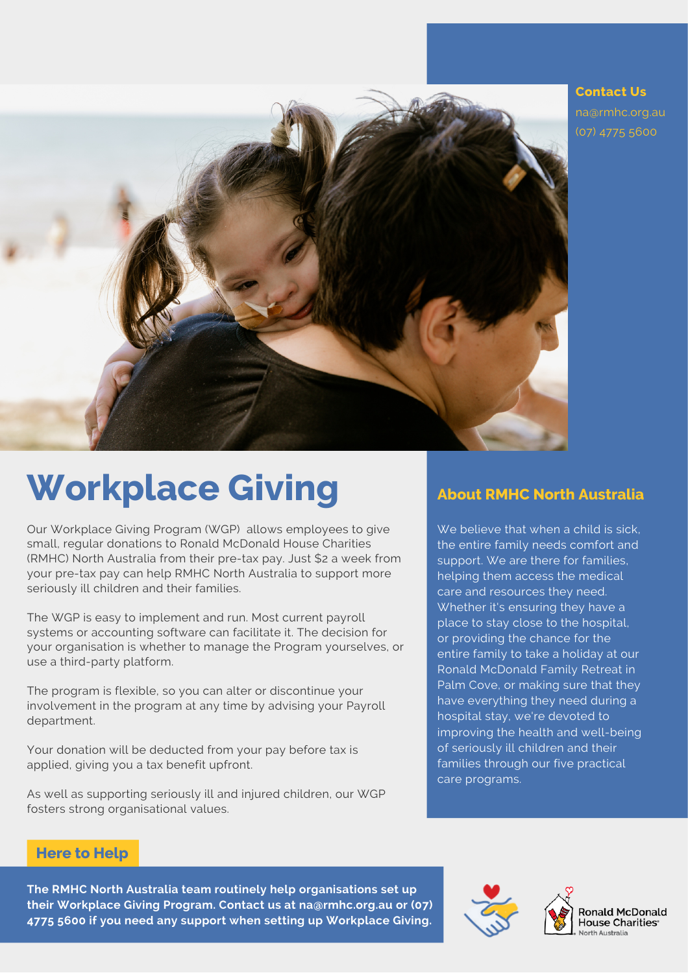

**Contact Us** na@rmhc.org.au (07) 4775 [5600](https://www.google.com/search?q=RMHC+NA&rlz=1C1RXQR_en-GBAU991AU991&oq=RMHC+NA&aqs=chrome..69i57j46i39i175i199j69i59j0i512j69i60l3j69i65.1595j0j7&sourceid=chrome&ie=UTF-8#)

## **Workplace Giving**

Our Workplace Giving Program (WGP) allows employees to give small, regular donations to Ronald McDonald House Charities (RMHC) North Australia from their pre-tax pay. Just \$2 a week from your pre-tax pay can help RMHC North Australia to support more seriously ill children and their families.

The WGP is easy to implement and run. Most current payroll systems or accounting software can facilitate it. The decision for your organisation is whether to manage the Program yourselves, or use a third-party platform.

The program is flexible, so you can alter or discontinue your involvement in the program at any time by advising your Payroll department.

Your donation will be deducted from your pay before tax is applied, giving you a tax benefit upfront.

As well as supporting seriously ill and injured children, our WGP fosters strong organisational values.

#### **About RMHC North Australia**

We believe that when a child is sick. the entire family needs comfort and support. We are there for families, helping them access the medical care and resources they need. Whether it's ensuring they have a place to stay close to the hospital, or providing the chance for the entire family to take a holiday at our Ronald McDonald Family Retreat in Palm Cove, or making sure that they have everything they need during a hospital stay, we're devoted to improving the health and well-being of seriously ill children and their families through our five practical care programs.

#### **Here to Help**

**The RMHC North Australia team routinely help organisations set up their Workplace Giving Program. Contact us at na@rmhc.org.au or (07) 4775 [5600](https://www.google.com/search?q=RMHC+NA&rlz=1C1RXQR_en-GBAU991AU991&oq=RMHC+NA&aqs=chrome..69i57j46i39i175i199j69i59j0i512j69i60l3j69i65.1595j0j7&sourceid=chrome&ie=UTF-8#) if you need any support when setting up Workplace Giving.**